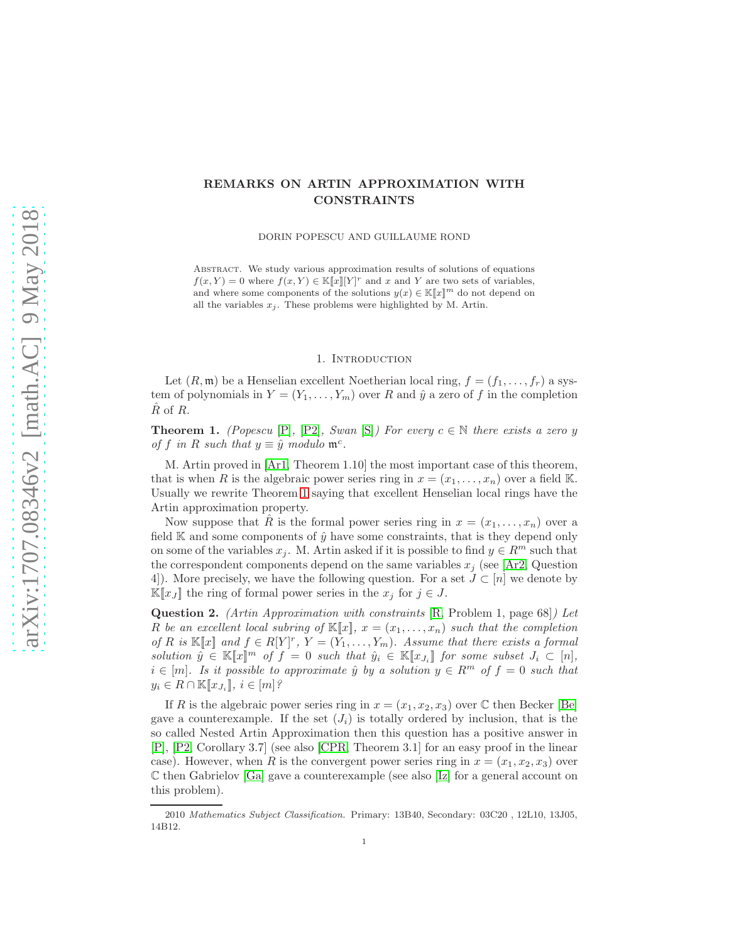# REMARKS ON ARTIN APPROXIMATION WITH CONSTRAINTS

DORIN POPESCU AND GUILLAUME ROND

Abstract. We study various approximation results of solutions of equations  $f(x, Y) = 0$  where  $f(x, Y) \in \mathbb{K}[\![x]\!] [Y]^r$  and x and Y are two sets of variables, and where some components of the solutions  $y(x) \in \mathbb{K}[[x]]^m$  do not depend on all the variables  $x_j$ . These problems were highlighted by M. Artin.

## 1. INTRODUCTION

Let  $(R, \mathfrak{m})$  be a Henselian excellent Noetherian local ring,  $f = (f_1, \ldots, f_r)$  a system of polynomials in  $Y = (Y_1, \ldots, Y_m)$  over R and  $\hat{y}$  a zero of f in the completion  $\overline{R}$  of  $\overline{R}$ .

<span id="page-0-0"></span>**Theorem 1.** (Popescu [\[P\]](#page-8-0), [\[P2\]](#page-8-1), Swan [\[S\]](#page-8-2)) For every  $c \in \mathbb{N}$  there exists a zero y of f in R such that  $y \equiv \hat{y}$  modulo  $\mathfrak{m}^c$ .

M. Artin proved in [\[Ar1,](#page-7-0) Theorem 1.10] the most important case of this theorem, that is when R is the algebraic power series ring in  $x = (x_1, \ldots, x_n)$  over a field K. Usually we rewrite Theorem [1](#page-0-0) saying that excellent Henselian local rings have the Artin approximation property.

Now suppose that R<sup>i</sup> is the formal power series ring in  $x = (x_1, \ldots, x_n)$  over a field  $\mathbb K$  and some components of  $\hat{y}$  have some constraints, that is they depend only on some of the variables  $x_j$ . M. Artin asked if it is possible to find  $y \in R^m$  such that the correspondent components depend on the same variables  $x_i$  (see [\[Ar2,](#page-7-1) Question 4]). More precisely, we have the following question. For a set  $J \subset [n]$  we denote by  $\mathbb{K}[x]$  the ring of formal power series in the  $x_i$  for  $j \in J$ .

<span id="page-0-1"></span>Question 2. (Artin Approximation with constraints [\[R,](#page-8-3) Problem 1, page 68]) Let R be an excellent local subring of  $\mathbb{K}[x]$ ,  $x = (x_1, \ldots, x_n)$  such that the completion of R is  $\mathbb{K}[\![x]\!]$  and  $f \in R[Y]^r$ ,  $Y = (Y_1, \ldots, Y_m)$ . Assume that there exists a formal solution  $\hat{y} \in \mathbb{K}[\![x]\!]^m$  of  $f = 0$  such that  $\hat{y}_i \in \mathbb{K}[\![x_{J_i}]\!]$  for some subset  $J_i \subset [n],$  $i \in [m]$ . Is it possible to approximate  $\hat{y}$  by a solution  $y \in R^m$  of  $f = 0$  such that  $y_i \in R \cap \mathbb{K}[x_{J_i}]$ ,  $i \in [m]$ ?

If R is the algebraic power series ring in  $x = (x_1, x_2, x_3)$  over C then Becker [\[Be\]](#page-7-2) gave a counterexample. If the set  $(J_i)$  is totally ordered by inclusion, that is the so called Nested Artin Approximation then this question has a positive answer in [\[P\]](#page-8-0), [\[P2,](#page-8-1) Corollary 3.7] (see also [\[CPR,](#page-8-4) Theorem 3.1] for an easy proof in the linear case). However, when R is the convergent power series ring in  $x = (x_1, x_2, x_3)$  over C then Gabrielov [\[Ga\]](#page-8-5) gave a counterexample (see also [\[Iz\]](#page-8-6) for a general account on this problem).

<sup>2010</sup> Mathematics Subject Classification. Primary: 13B40, Secondary: 03C20 , 12L10, 13J05, 14B12.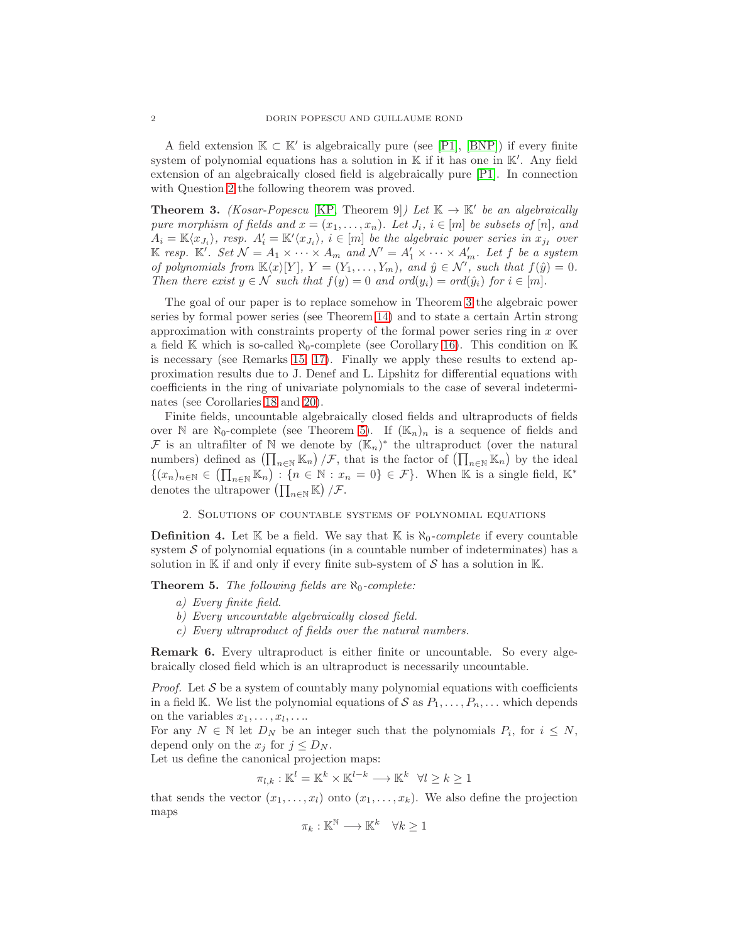A field extension  $K \subset K'$  is algebraically pure (see [\[P1\]](#page-8-7), [\[BNP\]](#page-7-3)) if every finite system of polynomial equations has a solution in  $K$  if it has one in  $K'$ . Any field extension of an algebraically closed field is algebraically pure [\[P1\]](#page-8-7). In connection with Question [2](#page-0-1) the following theorem was proved.

<span id="page-1-0"></span>**Theorem 3.** (Kosar-Popescu [\[KP,](#page-8-8) Theorem 9]) Let  $K \to K'$  be an algebraically pure morphism of fields and  $x = (x_1, \ldots, x_n)$ . Let  $J_i$ ,  $i \in [m]$  be subsets of  $[n]$ , and  $A_i = \mathbb{K}\langle x_{J_i} \rangle$ , resp.  $A'_i = \mathbb{K}'\langle x_{J_i} \rangle$ ,  $i \in [m]$  be the algebraic power series in  $x_{j_I}$  over K resp. K'. Set  $\mathcal{N} = A_1 \times \cdots \times A_m$  and  $\mathcal{N}' = A'_1 \times \cdots \times A'_m$ . Let f be a system of polynomials from  $\mathbb{K}\langle x\rangle[Y], Y = (Y_1, \ldots, Y_m),$  and  $\hat{y} \in \mathcal{N}'$ , such that  $f(\hat{y}) = 0$ . Then there exist  $y \in \mathcal{N}$  such that  $f(y) = 0$  and  $\text{ord}(y_i) = \text{ord}(\hat{y}_i)$  for  $i \in [m]$ .

The goal of our paper is to replace somehow in Theorem [3](#page-1-0) the algebraic power series by formal power series (see Theorem [14\)](#page-5-0) and to state a certain Artin strong approximation with constraints property of the formal power series ring in  $x$  over a field K which is so-called  $\aleph_0$ -complete (see Corollary [16\)](#page-6-0). This condition on K is necessary (see Remarks [15,](#page-5-1) [17\)](#page-6-1). Finally we apply these results to extend approximation results due to J. Denef and L. Lipshitz for differential equations with coefficients in the ring of univariate polynomials to the case of several indeterminates (see Corollaries [18](#page-6-2) and [20\)](#page-7-4).

Finite fields, uncountable algebraically closed fields and ultraproducts of fields over N are  $\aleph_0$ -complete (see Theorem [5\)](#page-1-1). If  $(\mathbb{K}_n)_n$  is a sequence of fields and  $\mathcal F$  is an ultrafilter of  $\mathbb N$  we denote by  $(\mathbb{K}_n)^*$  the ultraproduct (over the natural numbers) defined as  $(\prod_{n\in\mathbb{N}}\mathbb{K}_n)/\mathcal{F}$ , that is the factor of  $(\prod_{n\in\mathbb{N}}\mathbb{K}_n)$  by the ideal  $\{(x_n)_{n\in\mathbb{N}}\in\left(\prod_{n\in\mathbb{N}}\mathbb{K}_n\right):\{n\in\mathbb{N}:x_n=0\}\in\mathcal{F}\}\.$  When K is a single field,  $\mathbb{K}^*$ denotes the ultrapower  $\left(\prod_{n\in\mathbb{N}}\mathbb{K}\right)/\mathcal{F}.$ 

#### 2. Solutions of countable systems of polynomial equations

**Definition 4.** Let  $\mathbb{K}$  be a field. We say that  $\mathbb{K}$  is  $\aleph_0$ -complete if every countable system  $S$  of polynomial equations (in a countable number of indeterminates) has a solution in  $\mathbb K$  if and only if every finite sub-system of S has a solution in  $\mathbb K$ .

<span id="page-1-1"></span>**Theorem 5.** The following fields are  $\aleph_0$ -complete:

- a) Every finite field.
- b) Every uncountable algebraically closed field.
- c) Every ultraproduct of fields over the natural numbers.

Remark 6. Every ultraproduct is either finite or uncountable. So every algebraically closed field which is an ultraproduct is necessarily uncountable.

*Proof.* Let  $S$  be a system of countably many polynomial equations with coefficients in a field K. We list the polynomial equations of S as  $P_1, \ldots, P_n, \ldots$  which depends on the variables  $x_1, \ldots, x_l, \ldots$ 

For any  $N \in \mathbb{N}$  let  $D_N$  be an integer such that the polynomials  $P_i$ , for  $i \leq N$ , depend only on the  $x_j$  for  $j \leq D_N$ .

Let us define the canonical projection maps:

$$
\pi_{l,k} : \mathbb{K}^l = \mathbb{K}^k \times \mathbb{K}^{l-k} \longrightarrow \mathbb{K}^k \quad \forall l \geq k \geq 1
$$

that sends the vector  $(x_1, \ldots, x_l)$  onto  $(x_1, \ldots, x_k)$ . We also define the projection maps

$$
\pi_k:\mathbb{K}^\mathbb{N}\longrightarrow\mathbb{K}^k\quad\forall k\geq 1
$$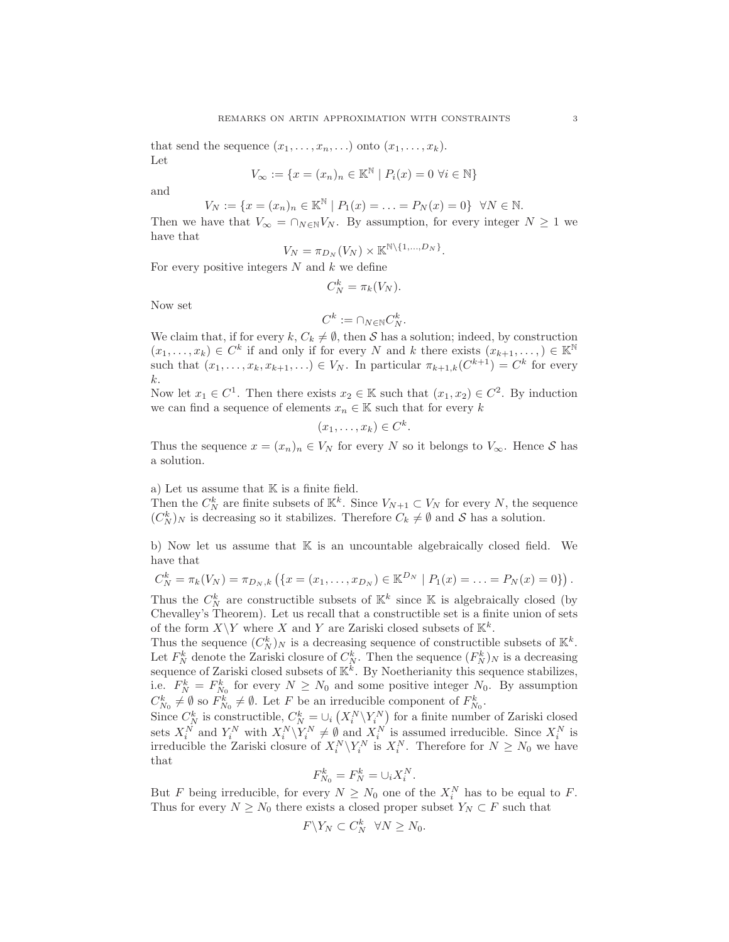that send the sequence  $(x_1, \ldots, x_n, \ldots)$  onto  $(x_1, \ldots, x_k)$ . Let

$$
V_{\infty} := \{ x = (x_n)_n \in \mathbb{K}^{\mathbb{N}} \mid P_i(x) = 0 \,\,\forall i \in \mathbb{N} \}
$$

and

$$
V_N := \{ x = (x_n)_n \in \mathbb{K}^{\mathbb{N}} \mid P_1(x) = \ldots = P_N(x) = 0 \} \quad \forall N \in \mathbb{N}.
$$

Then we have that  $V_{\infty} = \cap_{N \in \mathbb{N}} V_N$ . By assumption, for every integer  $N \geq 1$  we have that

$$
V_N = \pi_{D_N}(V_N) \times \mathbb{K}^{\mathbb{N}\setminus\{1,\dots,D_N\}}.
$$

For every positive integers  $N$  and  $k$  we define

$$
C_N^k = \pi_k(V_N).
$$

Now set

$$
C^k := \cap_{N \in \mathbb{N}} C_N^k.
$$

We claim that, if for every  $k, C_k \neq \emptyset$ , then S has a solution; indeed, by construction  $(x_1, \ldots, x_k) \in C^k$  if and only if for every N and k there exists  $(x_{k+1}, \ldots, x_k) \in \mathbb{K}^{\mathbb{N}}$ such that  $(x_1, \ldots, x_k, x_{k+1}, \ldots) \in V_N$ . In particular  $\pi_{k+1,k}(C^{k+1}) = C^k$  for every k.

Now let  $x_1 \in C^1$ . Then there exists  $x_2 \in \mathbb{K}$  such that  $(x_1, x_2) \in C^2$ . By induction we can find a sequence of elements  $x_n \in \mathbb{K}$  such that for every k

$$
(x_1,\ldots,x_k)\in C^k.
$$

Thus the sequence  $x = (x_n)_n \in V_N$  for every N so it belongs to  $V_\infty$ . Hence S has a solution.

a) Let us assume that  $K$  is a finite field.

Then the  $C_N^k$  are finite subsets of  $\mathbb{K}^k$ . Since  $V_{N+1} \subset V_N$  for every N, the sequence  $(C_N^k)_N$  is decreasing so it stabilizes. Therefore  $C_k \neq \emptyset$  and S has a solution.

b) Now let us assume that  $\mathbb K$  is an uncountable algebraically closed field. We have that

$$
C_N^k = \pi_k(V_N) = \pi_{D_N,k} \left( \{ x = (x_1, \ldots, x_{D_N}) \in \mathbb{K}^{D_N} \mid P_1(x) = \ldots = P_N(x) = 0 \} \right).
$$

Thus the  $C_N^k$  are constructible subsets of  $\mathbb{K}^k$  since  $\mathbb K$  is algebraically closed (by Chevalley's Theorem). Let us recall that a constructible set is a finite union of sets of the form  $X\Y$  where X and Y are Zariski closed subsets of  $\mathbb{K}^k$ .

Thus the sequence  $(C_N^k)_N$  is a decreasing sequence of constructible subsets of  $\mathbb{K}^k$ . Let  $F_N^k$  denote the Zariski closure of  $C_N^k$ . Then the sequence  $(F_N^k)_N$  is a decreasing sequence of Zariski closed subsets of  $\mathbb{K}^k$ . By Noetherianity this sequence stabilizes, i.e.  $F_N^k = F_{N_0}^k$  for every  $N \ge N_0$  and some positive integer  $N_0$ . By assumption  $C_{N_0}^k \neq \emptyset$  so  $F_{N_0}^k \neq \emptyset$ . Let F be an irreducible component of  $F_{N_0}^k$ .

Since  $C_N^k$  is constructible,  $C_N^k = \bigcup_i (X_i^N \setminus Y_i^N)$  for a finite number of Zariski closed sets  $X_i^N$  and  $Y_i^N$  with  $X_i^N \setminus Y_i^N \neq \emptyset$  and  $X_i^N$  is assumed irreducible. Since  $X_i^N$  is irreducible the Zariski closure of  $X_i^N \backslash Y_i^N$  is  $X_i^N$ . Therefore for  $N \ge N_0$  we have that

$$
F_{N_0}^k = F_N^k = \cup_i X_i^N.
$$

But F being irreducible, for every  $N \ge N_0$  one of the  $X_i^N$  has to be equal to F. Thus for every  $N \ge N_0$  there exists a closed proper subset  $Y_N \subset F$  such that

$$
F \backslash Y_N \subset C_N^k \quad \forall N \ge N_0.
$$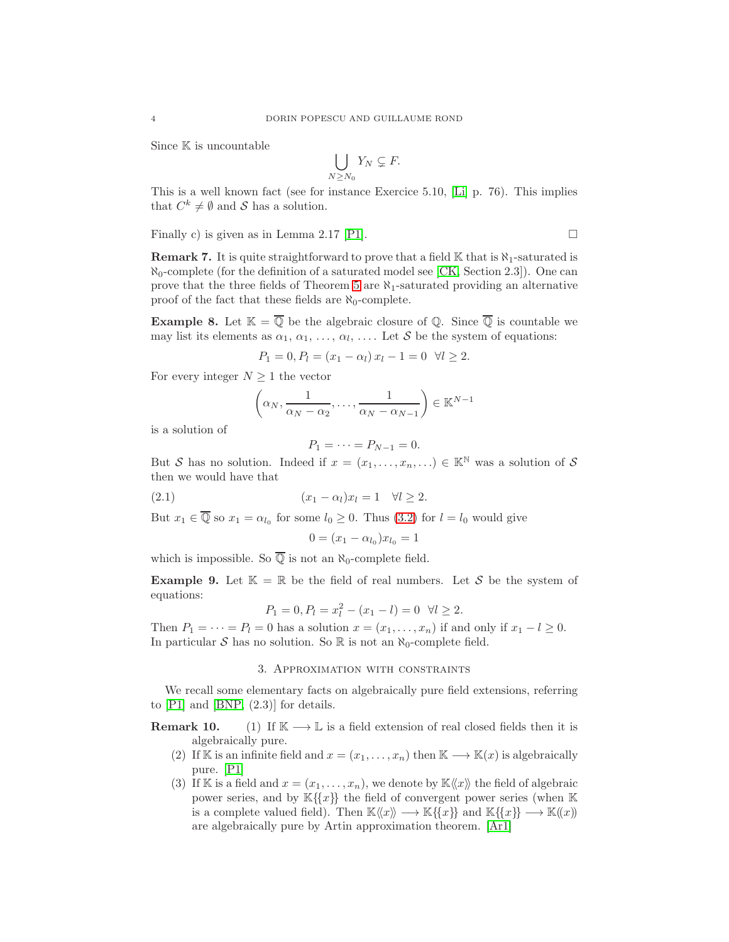Since  $\mathbb K$  is uncountable

$$
\bigcup_{N\geq N_0} Y_N \subsetneq F.
$$

This is a well known fact (see for instance Exercice 5.10, [\[Li\]](#page-8-9) p. 76). This implies that  $C^k \neq \emptyset$  and S has a solution.

Finally c) is given as in Lemma 2.17 [P1]. 
$$
\Box
$$

**Remark 7.** It is quite straightforward to prove that a field  $\mathbb{K}$  that is  $\aleph_1$ -saturated is  $\aleph_0$ -complete (for the definition of a saturated model see [\[CK,](#page-8-10) Section 2.3]). One can prove that the three fields of Theorem [5](#page-1-1) are  $\aleph_1$ -saturated providing an alternative proof of the fact that these fields are  $\aleph_0$ -complete.

**Example 8.** Let  $\mathbb{K} = \overline{\mathbb{Q}}$  be the algebraic closure of  $\mathbb{Q}$ . Since  $\overline{\mathbb{Q}}$  is countable we may list its elements as  $\alpha_1, \alpha_1, \ldots, \alpha_l, \ldots$ . Let S be the system of equations:

$$
P_1 = 0, P_l = (x_1 - \alpha_l) x_l - 1 = 0 \quad \forall l \ge 2.
$$

For every integer  $N \geq 1$  the vector

$$
\left(\alpha_N, \frac{1}{\alpha_N - \alpha_2}, \dots, \frac{1}{\alpha_N - \alpha_{N-1}}\right) \in \mathbb{K}^{N-1}
$$

is a solution of

$$
P_1=\cdots=P_{N-1}=0.
$$

But S has no solution. Indeed if  $x = (x_1, \ldots, x_n, \ldots) \in \mathbb{K}^{\mathbb{N}}$  was a solution of S then we would have that

(2.1) (x<sup>1</sup> − αl)x<sup>l</sup> = 1 ∀l ≥ 2.

But  $x_1 \in \mathbb{Q}$  so  $x_1 = \alpha_{l_0}$  for some  $l_0 \geq 0$ . Thus [\(3.2\)](#page-5-2) for  $l = l_0$  would give

$$
0 = (x_1 - \alpha_{l_0})x_{l_0} = 1
$$

which is impossible. So  $\overline{Q}$  is not an  $\aleph_0$ -complete field.

**Example 9.** Let  $\mathbb{K} = \mathbb{R}$  be the field of real numbers. Let S be the system of equations:

$$
P_1 = 0, P_l = x_l^2 - (x_1 - l) = 0 \quad \forall l \ge 2.
$$

Then  $P_1 = \cdots = P_l = 0$  has a solution  $x = (x_1, \ldots, x_n)$  if and only if  $x_1 - l \geq 0$ . In particular S has no solution. So  $\mathbb R$  is not an  $\aleph_0$ -complete field.

### 3. Approximation with constraints

We recall some elementary facts on algebraically pure field extensions, referring to [\[P1\]](#page-8-7) and [\[BNP,](#page-7-3) (2.3)] for details.

**Remark 10.** (1) If  $K \rightarrow L$  is a field extension of real closed fields then it is algebraically pure.

- (2) If K is an infinite field and  $x = (x_1, \ldots, x_n)$  then  $K \longrightarrow K(x)$  is algebraically pure. [\[P1\]](#page-8-7)
- (3) If K is a field and  $x = (x_1, \ldots, x_n)$ , we denote by  $\mathbb{K} \langle x \rangle$  the field of algebraic power series, and by  $\mathbb{K}\{\{x\}\}\$  the field of convergent power series (when  $\mathbb K$ is a complete valued field). Then  $\mathbb{K}\langle\langle x \rangle\rangle \longrightarrow \mathbb{K}\lbrace\{x\}\rbrace$  and  $\mathbb{K}\lbrace\{x\}\rbrace \longrightarrow \mathbb{K}\langle\langle x \rangle\rangle$ are algebraically pure by Artin approximation theorem. [\[Ar1\]](#page-7-0)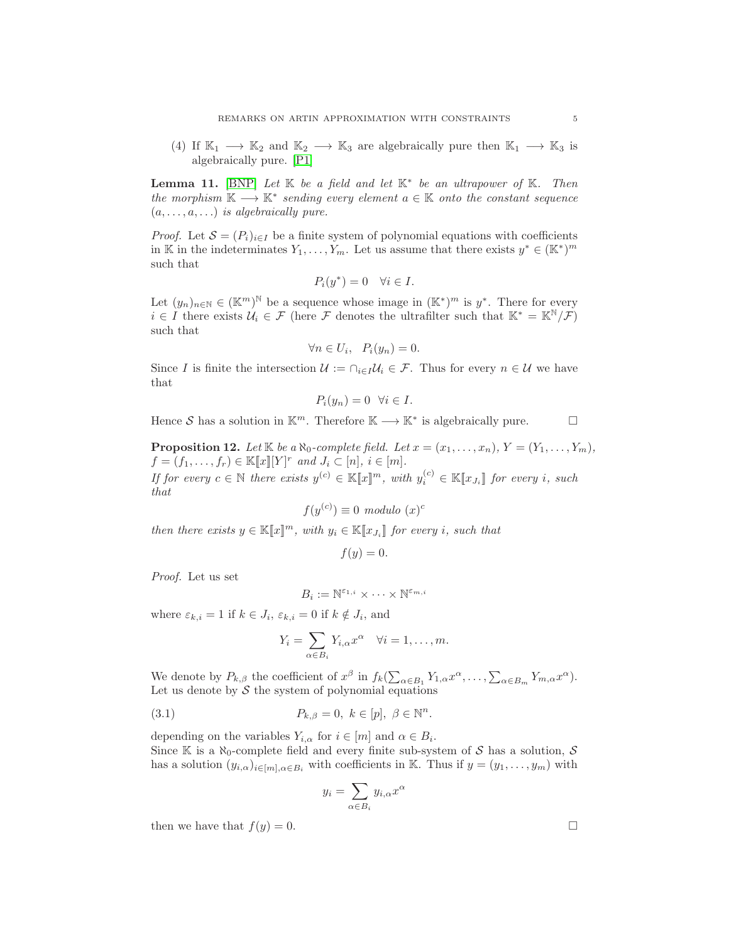(4) If  $\mathbb{K}_1 \longrightarrow \mathbb{K}_2$  and  $\mathbb{K}_2 \longrightarrow \mathbb{K}_3$  are algebraically pure then  $\mathbb{K}_1 \longrightarrow \mathbb{K}_3$  is algebraically pure. [\[P1\]](#page-8-7)

<span id="page-4-1"></span>**Lemma 11.** [\[BNP\]](#page-7-3) Let  $K$  be a field and let  $K^*$  be an ultrapower of  $K$ . Then the morphism  $K \longrightarrow K^*$  sending every element  $a \in K$  onto the constant sequence  $(a, \ldots, a, \ldots)$  is algebraically pure.

*Proof.* Let  $S = (P_i)_{i \in I}$  be a finite system of polynomial equations with coefficients in K in the indeterminates  $Y_1, \ldots, Y_m$ . Let us assume that there exists  $y^* \in (\mathbb{K}^*)^m$ such that

$$
P_i(y^*) = 0 \quad \forall i \in I.
$$

Let  $(y_n)_{n\in\mathbb{N}}\in (\mathbb{K}^m)^{\mathbb{N}}$  be a sequence whose image in  $(\mathbb{K}^*)^m$  is  $y^*$ . There for every  $i \in I$  there exists  $\mathcal{U}_i \in \mathcal{F}$  (here  $\mathcal{F}$  denotes the ultrafilter such that  $\mathbb{K}^* = \mathbb{K}^{\mathbb{N}}/\mathcal{F}$ ) such that

$$
\forall n \in U_i, \quad P_i(y_n) = 0.
$$

Since I is finite the intersection  $\mathcal{U} := \bigcap_{i \in I} \mathcal{U}_i \in \mathcal{F}$ . Thus for every  $n \in \mathcal{U}$  we have that

$$
P_i(y_n) = 0 \quad \forall i \in I.
$$

Hence S has a solution in  $\mathbb{K}^m$ . Therefore  $\mathbb{K} \longrightarrow \mathbb{K}^*$  is algebraically pure.

<span id="page-4-0"></span>**Proposition 12.** Let  $\mathbb{K}$  be a  $\aleph_0$ -complete field. Let  $x = (x_1, \ldots, x_n)$ ,  $Y = (Y_1, \ldots, Y_m)$ ,  $f = (f_1, \ldots, f_r) \in \mathbb{K}[\![x]\!] [Y]^r$  and  $J_i \subset [n], i \in [m]$ . If for every  $c \in \mathbb{N}$  there exists  $y^{(c)} \in \mathbb{K}[\![x]\!]^m$ , with  $y_i^{(c)} \in \mathbb{K}[\![x_{J_i}]\!]$  for every i, such that

$$
f(y^{(c)}) \equiv 0 \text{ modulo } (x)^c
$$

then there exists  $y \in \mathbb{K}[\![x]\!]^m$ , with  $y_i \in \mathbb{K}[\![x_{J_i}]\!]$  for every i, such that

$$
f(y) = 0.
$$

Proof. Let us set

$$
B_i := \mathbb{N}^{\varepsilon_{1,i}} \times \cdots \times \mathbb{N}^{\varepsilon_{m,i}}
$$

where  $\varepsilon_{k,i} = 1$  if  $k \in J_i$ ,  $\varepsilon_{k,i} = 0$  if  $k \notin J_i$ , and

$$
Y_i = \sum_{\alpha \in B_i} Y_{i,\alpha} x^{\alpha} \quad \forall i = 1, \dots, m.
$$

We denote by  $P_{k,\beta}$  the coefficient of  $x^{\beta}$  in  $f_k(\sum_{\alpha \in B_1} Y_{1,\alpha} x^{\alpha}, \ldots, \sum_{\alpha \in B_m} Y_{m,\alpha} x^{\alpha}).$ Let us denote by  $S$  the system of polynomial equations

(3.1) 
$$
P_{k,\beta} = 0, \ k \in [p], \ \beta \in \mathbb{N}^n.
$$

depending on the variables  $Y_{i,\alpha}$  for  $i \in [m]$  and  $\alpha \in B_i$ . Since K is a  $\aleph_0$ -complete field and every finite sub-system of S has a solution, S has a solution  $(y_{i,\alpha})_{i\in[m],\alpha\in B_i}$  with coefficients in K. Thus if  $y=(y_1,\ldots,y_m)$  with

$$
y_i = \sum_{\alpha \in B_i} y_{i,\alpha} x^{\alpha}
$$

then we have that  $f(y) = 0$ .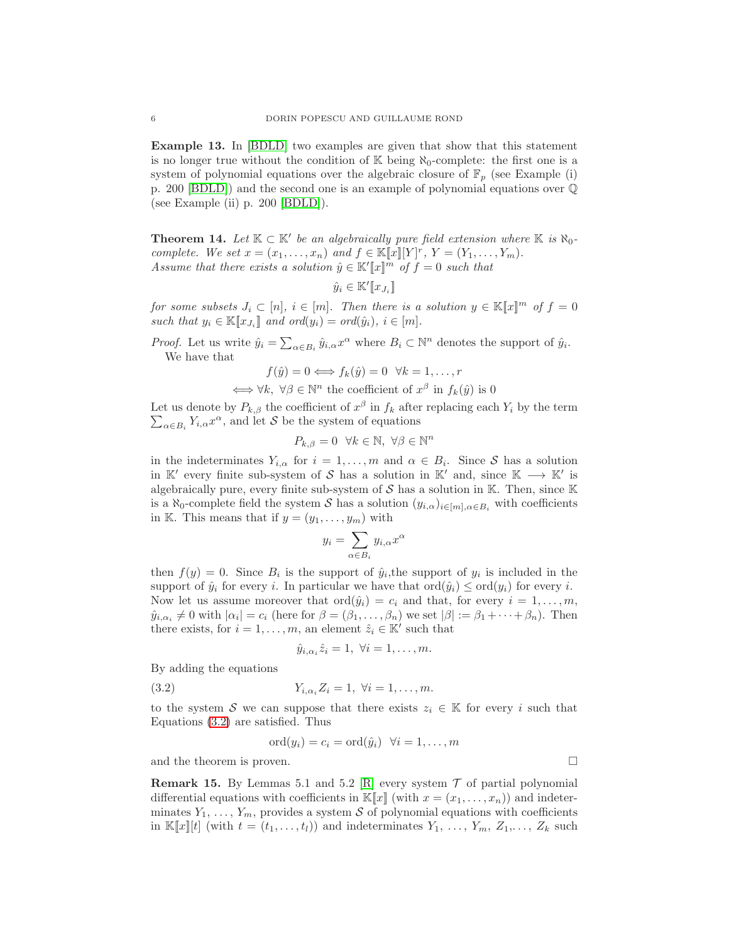Example 13. In [\[BDLD\]](#page-8-11) two examples are given that show that this statement is no longer true without the condition of  $\mathbb{K}$  being  $\aleph_0$ -complete: the first one is a system of polynomial equations over the algebraic closure of  $\mathbb{F}_p$  (see Example (i) p. 200 [\[BDLD\]](#page-8-11)) and the second one is an example of polynomial equations over Q (see Example (ii) p. 200 [\[BDLD\]](#page-8-11)).

<span id="page-5-0"></span>**Theorem 14.** Let  $K \subset K'$  be an algebraically pure field extension where  $K$  is  $\aleph_0$ complete. We set  $x = (x_1, \ldots, x_n)$  and  $f \in \mathbb{K}[\![x]\!] [Y]^r$ ,  $Y = (Y_1, \ldots, Y_m)$ . Assume that there exists a solution  $\hat{y} \in \mathbb{K}^{\prime}[\![x]\!]^m$  of  $f = 0$  such that

$$
\hat{y}_i \in \mathbb{K}'[\![x_{J_i}]\!]
$$

for some subsets  $J_i \subset [n], i \in [m]$ . Then there is a solution  $y \in K[x]^m$  of  $f = 0$ such that  $y_i \in \mathbb{K}[x_{J_i}]$  and  $\text{ord}(y_i) = \text{ord}(\hat{y}_i), i \in [m].$ 

*Proof.* Let us write  $\hat{y}_i = \sum_{\alpha \in B_i} \hat{y}_{i,\alpha} x^{\alpha}$  where  $B_i \subset \mathbb{N}^n$  denotes the support of  $\hat{y}_i$ . We have that

$$
f(\hat{y}) = 0 \iff f_k(\hat{y}) = 0 \quad \forall k = 1, ..., r
$$

$$
\iff \forall k, \ \forall \beta \in \mathbb{N}^n \text{ the coefficient of } x^\beta \text{ in } f_k(\hat{y}) \text{ is } 0
$$

Let us denote by  $P_{k,\beta}$  the coefficient of  $x^{\beta}$  in  $f_k$  after replacing each  $Y_i$  by the term  $\sum_{\alpha \in B_i} Y_{i,\alpha} x^{\alpha}$ , and let S be the system of equations

$$
P_{k,\beta} = 0 \quad \forall k \in \mathbb{N}, \ \forall \beta \in \mathbb{N}^n
$$

in the indeterminates  $Y_{i,\alpha}$  for  $i=1,\ldots,m$  and  $\alpha \in B_i$ . Since S has a solution in K' every finite sub-system of S has a solution in K' and, since  $K \longrightarrow K'$  is algebraically pure, every finite sub-system of  $S$  has a solution in K. Then, since K is a  $\aleph_0$ -complete field the system S has a solution  $(y_{i,\alpha})_{i\in[m],\alpha\in B_i}$  with coefficients in K. This means that if  $y = (y_1, \ldots, y_m)$  with

$$
y_i = \sum_{\alpha \in B_i} y_{i,\alpha} x^{\alpha}
$$

then  $f(y) = 0$ . Since  $B_i$  is the support of  $\hat{y}_i$ , the support of  $y_i$  is included in the support of  $\hat{y}_i$  for every i. In particular we have that  $\text{ord}(\hat{y}_i) \leq \text{ord}(y_i)$  for every i. Now let us assume moreover that  $\text{ord}(\hat{y}_i) = c_i$  and that, for every  $i = 1, \ldots, m$ ,  $\hat{y}_{i,\alpha_i} \neq 0$  with  $|\alpha_i| = c_i$  (here for  $\beta = (\beta_1, \ldots, \beta_n)$  we set  $|\beta| := \beta_1 + \cdots + \beta_n$ ). Then there exists, for  $i = 1, \ldots, m$ , an element  $\hat{z}_i \in \mathbb{K}'$  such that

<span id="page-5-2"></span>
$$
\hat{y}_{i,\alpha_i}\hat{z}_i=1, \ \forall i=1,\ldots,m.
$$

By adding the equations

(3.2) 
$$
Y_{i,\alpha_i} Z_i = 1, \ \forall i = 1, ..., m.
$$

to the system S we can suppose that there exists  $z_i \in \mathbb{K}$  for every i such that Equations [\(3.2\)](#page-5-2) are satisfied. Thus

$$
\mathrm{ord}(y_i)=c_i=\mathrm{ord}(\hat{y}_i)\ \ \forall i=1,\ldots,m
$$

and the theorem is proven.  $\Box$ 

<span id="page-5-1"></span>**Remark 15.** By Lemmas 5.1 and 5.2 [\[R\]](#page-8-3) every system  $\mathcal{T}$  of partial polynomial differential equations with coefficients in  $\mathbb{K}[\![x]\!]$  (with  $x = (x_1, \ldots, x_n)$ ) and indeterminates  $Y_1, \ldots, Y_m$ , provides a system S of polynomial equations with coefficients in  $\mathbb{K}[x][t]$  (with  $t = (t_1, \ldots, t_l)$ ) and indeterminates  $Y_1, \ldots, Y_m, Z_1, \ldots, Z_k$  such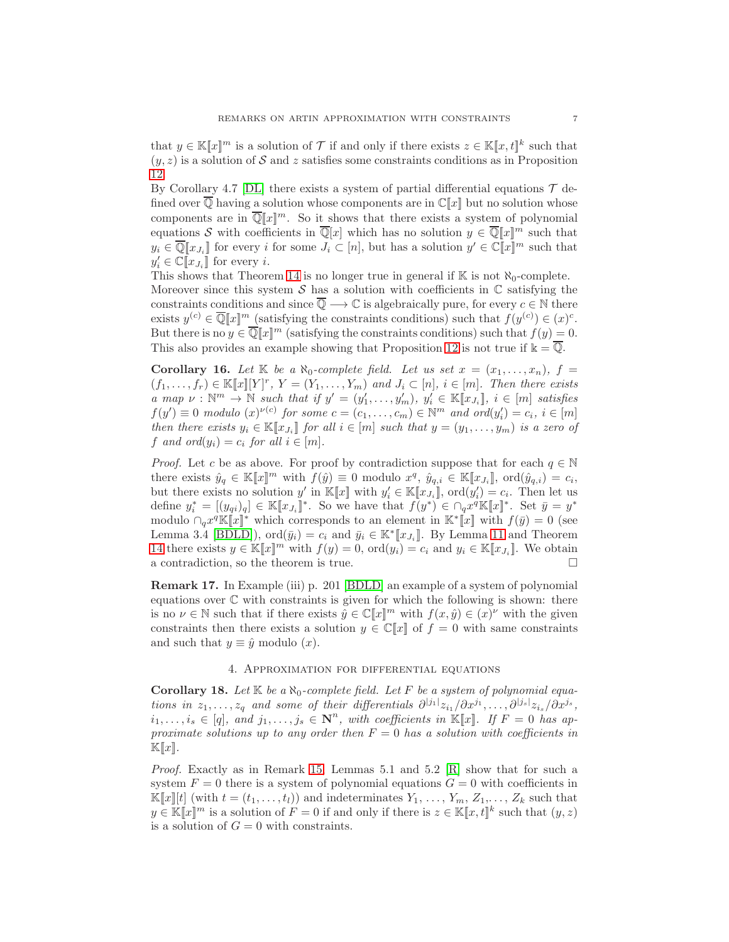that  $y \in \mathbb{K}[x]^m$  is a solution of  $\mathcal T$  if and only if there exists  $z \in \mathbb{K}[x,t]^k$  such that  $(y, z)$  is a solution of S and z satisfies some constraints conditions as in Proposition [12.](#page-4-0)

By Corollary 4.7 [\[DL\]](#page-8-12) there exists a system of partial differential equations  $\mathcal T$  defined over  $\overline{Q}$  having a solution whose components are in  $\mathbb{C}[[x]]$  but no solution whose components are in  $\overline{\mathbb{Q}}[x]^m$ . So it shows that there exists a system of polynomial equations S with coefficients in  $\overline{\mathbb{Q}}[x]$  which has no solution  $y \in \overline{\mathbb{Q}}[x]^m$  such that  $y_i \in \overline{\mathbb{Q}}[x_{J_i}]$  for every i for some  $J_i \subset [n]$ , but has a solution  $y' \in \mathbb{C}[x]^m$  such that  $y'_i \in \mathbb{C}[\![x_{J_i}]\!]$  for every *i*.

This shows that Theorem [14](#page-5-0) is no longer true in general if  $\mathbb{K}$  is not  $\aleph_0$ -complete. Moreover since this system  $S$  has a solution with coefficients in  $\mathbb C$  satisfying the constraints conditions and since  $\overline{\mathbb{Q}} \longrightarrow \mathbb{C}$  is algebraically pure, for every  $c \in \mathbb{N}$  there exists  $y^{(c)} \in \overline{\mathbb{Q}}[x]^m$  (satisfying the constraints conditions) such that  $f(y^{(c)}) \in (x)^c$ . But there is no  $y \in \overline{\mathbb{Q}}[x]^m$  (satisfying the constraints conditions) such that  $f(y) = 0$ . This also provides an example showing that Proposition [12](#page-4-0) is not true if  $\mathbb{k} = \overline{\mathbb{Q}}$ .

<span id="page-6-0"></span>**Corollary 16.** Let  $\mathbb{K}$  be a  $\aleph_0$ -complete field. Let us set  $x = (x_1, \ldots, x_n)$ ,  $f =$  $(f_1, \ldots, f_r) \in \mathbb{K}[\![x]\!][Y]^r$ ,  $Y = (Y_1, \ldots, Y_m)$  and  $J_i \subset [n], i \in [m]$ . Then there exists a map  $\nu : \mathbb{N}^m \to \mathbb{N}$  such that if  $y' = (y'_1, \ldots, y'_m), y'_i \in \mathbb{K}[[x_{J_i}]], i \in [m]$  satisfies  $f(y') \equiv 0 \text{ modulo } (x)^{\nu(c)}$  for some  $c = (c_1, \ldots, c_m) \in \mathbb{N}^m$  and  $\text{ord}(y'_i) = c_i, i \in [m]$ then there exists  $y_i \in \mathbb{K}[\![x_{J_i}]\!]$  for all  $i \in [m]$  such that  $y = (y_1, \ldots, y_m)$  is a zero of f and ord $(y_i) = c_i$  for all  $i \in [m]$ .

*Proof.* Let c be as above. For proof by contradiction suppose that for each  $q \in \mathbb{N}$ there exists  $\hat{y}_q \in \mathbb{K}[\![x]\!]^m$  with  $f(\hat{y}) \equiv 0$  modulo  $x^q$ ,  $\hat{y}_{q,i} \in \mathbb{K}[\![x_{J_i}]\!]$ ,  $\text{ord}(\hat{y}_{q,i}) = c_i$ , but there exists no solution  $y'$  in  $\mathbb{K}[\![x]\!]$  with  $y'_i \in \mathbb{K}[\![x_{J_i}]\!]$ ,  $\text{ord}(y'_i) = c_i$ . Then let us define  $y_i^* = [(y_{qi})_q] \in \mathbb{K}[\![x_{J_i}]\!]^*$ . So we have that  $f(y^*) \in \bigcap_q x^q \mathbb{K}[\![x]\!]^*$ . Set  $\bar{y} = y^*$ modulo  $\bigcap_q x^q \mathbb{K} [x]^*$  which corresponds to an element in  $\mathbb{K}^* [x]$  with  $f(\bar{y}) = 0$  (see Lemma 3.4 [\[BDLD\]](#page-8-11)),  $\text{ord}(\bar{y}_i) = c_i$  and  $\bar{y}_i \in \mathbb{K}^*[[x_{J_i}]]$ . By Lemma [11](#page-4-1) and Theorem [14](#page-5-0) there exists  $y \in \mathbb{K}[x]^m$  with  $f(y) = 0$ ,  $\text{ord}(y_i) = c_i$  and  $y_i \in \mathbb{K}[x_{J_i}]$ . We obtain a contradiction, so the theorem is true.

<span id="page-6-1"></span>Remark 17. In Example (iii) p. 201 [\[BDLD\]](#page-8-11) an example of a system of polynomial equations over  $\mathbb C$  with constraints is given for which the following is shown: there is no  $\nu \in \mathbb{N}$  such that if there exists  $\hat{y} \in \mathbb{C}[\![x]\!]^m$  with  $f(x, \hat{y}) \in (x)^{\nu}$  with the given constraints then there exists a solution  $y \in \mathbb{C}[x]$  of  $f = 0$  with same constraints and such that  $y \equiv \hat{y}$  modulo  $(x)$ .

### 4. Approximation for differential equations

<span id="page-6-2"></span>Corollary 18. Let  $\mathbb{K}$  be a  $\aleph_0$ -complete field. Let F be a system of polynomial equations in  $z_1, \ldots, z_q$  and some of their differentials  $\partial^{[j_1]} z_{i_1}/\partial x^{j_1}, \ldots, \partial^{[j_s]} z_{i_s}/\partial x^{j_s}$ ,  $i_1, \ldots, i_s \in [q],$  and  $j_1, \ldots, j_s \in \mathbb{N}^n$ , with coefficients in  $\mathbb{K}[x]$ . If  $F = 0$  has approximate solutions up to any order then  $F = 0$  has a solution with coefficients in  $\mathbb{K}[x].$ 

*Proof.* Exactly as in Remark [15,](#page-5-1) Lemmas 5.1 and 5.2  $|R|$  show that for such a system  $F = 0$  there is a system of polynomial equations  $G = 0$  with coefficients in  $\mathbb{K}[x][t]$  (with  $t = (t_1, \ldots, t_l)$ ) and indeterminates  $Y_1, \ldots, Y_m, Z_1, \ldots, Z_k$  such that  $y \in \mathbb{K}[x]^m$  is a solution of  $F = 0$  if and only if there is  $z \in \mathbb{K}[x, t]^k$  such that  $(y, z)$ is a solution of  $G = 0$  with constraints.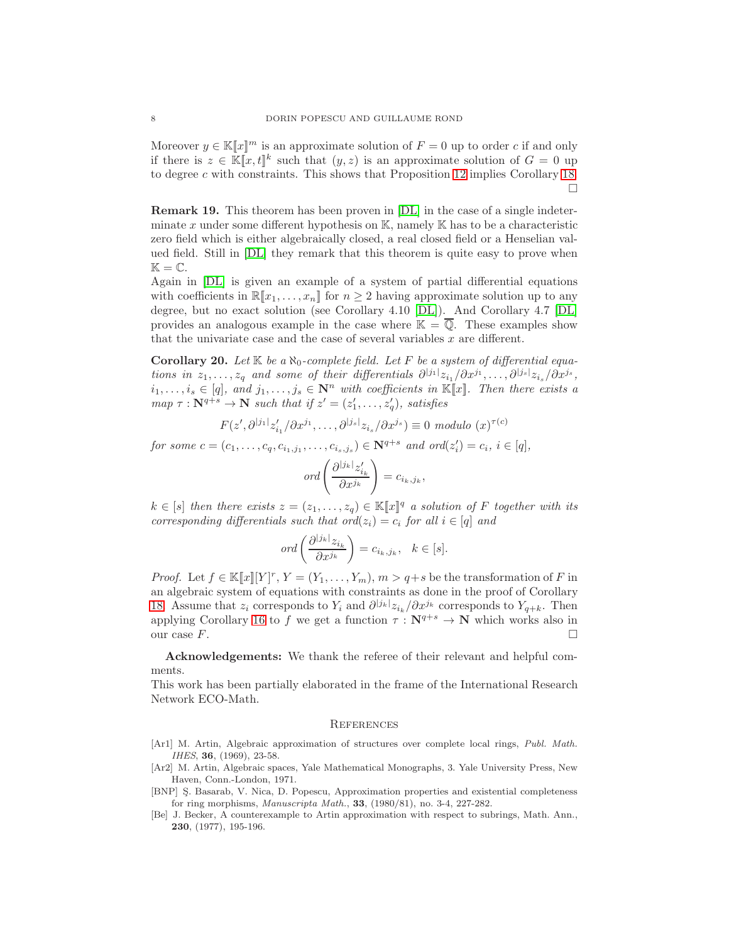Moreover  $y \in K[x]^m$  is an approximate solution of  $F = 0$  up to order c if and only if there is  $z \in \mathbb{K}[x,t]^k$  such that  $(y,z)$  is an approximate solution of  $G = 0$  up to degree c with constraints. This shows that Proposition [12](#page-4-0) implies Corollary [18.](#page-6-2)  $\Box$ 

Remark 19. This theorem has been proven in [\[DL\]](#page-8-12) in the case of a single indeterminate x under some different hypothesis on  $\mathbb{K}$ , namely  $\mathbb{K}$  has to be a characteristic zero field which is either algebraically closed, a real closed field or a Henselian valued field. Still in [\[DL\]](#page-8-12) they remark that this theorem is quite easy to prove when  $\mathbb{K} = \mathbb{C}.$ 

Again in [\[DL\]](#page-8-12) is given an example of a system of partial differential equations with coefficients in  $\mathbb{R}[x_1, \ldots, x_n]$  for  $n \geq 2$  having approximate solution up to any degree, but no exact solution (see Corollary 4.10 [\[DL\]](#page-8-12)). And Corollary 4.7 [\[DL\]](#page-8-12) provides an analogous example in the case where  $\mathbb{K} = \overline{\mathbb{Q}}$ . These examples show that the univariate case and the case of several variables  $x$  are different.

<span id="page-7-4"></span>Corollary 20. Let  $\mathbb{K}$  be a  $\aleph_0$ -complete field. Let F be a system of differential equations in  $z_1, \ldots, z_q$  and some of their differentials  $\partial^{[j_1]} z_{i_1}/\partial x^{j_1}, \ldots, \partial^{[j_s]} z_{i_s}/\partial x^{j_s}$ ,  $i_1, \ldots, i_s \in [q],$  and  $j_1, \ldots, j_s \in \mathbb{N}^n$  with coefficients in  $\mathbb{K}[\![x]\!]$ . Then there exists a  $map \tau : \mathbf{N}^{q+s} \to \mathbf{N}$  such that if  $z' = (z'_1, \ldots, z'_q)$ , satisfies

$$
F(z',\partial^{|j_1|}z'_{i_1}/\partial x^{j_1},\ldots,\partial^{|j_s|}z_{i_s}/\partial x^{j_s})\equiv 0 \text{ modulo } (x)^{\tau(c)}
$$

for some  $c = (c_1, ..., c_q, c_{i_1, j_1}, ..., c_{i_s, j_s}) \in \mathbb{N}^{q+s}$  and  $\text{ord}(z_i') = c_i, i \in [q],$ 

$$
ord\left(\frac{\partial^{|j_k|} z'_{i_k}}{\partial x^{j_k}}\right) = c_{i_k,j_k},
$$

 $k \in [s]$  then there exists  $z = (z_1, \ldots, z_q) \in \mathbb{K}[\![x]\!]^q$  a solution of F together with its corresponding differentials such that ord $(z_i) = c_i$  for all  $i \in [q]$  and

$$
ord\left(\frac{\partial^{|j_k|} z_{i_k}}{\partial x^{j_k}}\right) = c_{i_k,j_k}, \quad k \in [s].
$$

*Proof.* Let  $f \in \mathbb{K}[[x]][Y]^r$ ,  $Y = (Y_1, \ldots, Y_m)$ ,  $m > q+s$  be the transformation of F in an algebraic system of equations with constraints as done in the proof of Corollary [18.](#page-6-2) Assume that  $z_i$  corresponds to  $Y_i$  and  $\partial^{j_{jk}} z_{i_k}/\partial x^{j_k}$  corresponds to  $Y_{q+k}$ . Then applying Corollary [16](#page-6-0) to f we get a function  $\tau : \mathbf{N}^{q+s} \to \mathbf{N}$  which works also in our case  $F$ .

Acknowledgements: We thank the referee of their relevant and helpful comments.

This work has been partially elaborated in the frame of the International Research Network ECO-Math.

#### **REFERENCES**

- <span id="page-7-0"></span>[Ar1] M. Artin, Algebraic approximation of structures over complete local rings, Publ. Math. IHES, **36**, (1969), 23-58.
- <span id="page-7-1"></span>[Ar2] M. Artin, Algebraic spaces, Yale Mathematical Monographs, 3. Yale University Press, New Haven, Conn.-London, 1971.
- <span id="page-7-3"></span>[BNP] S. Basarab, V. Nica, D. Popescu, Approximation properties and existential completeness for ring morphisms, Manuscripta Math., 33, (1980/81), no. 3-4, 227-282.
- <span id="page-7-2"></span>[Be] J. Becker, A counterexample to Artin approximation with respect to subrings, Math. Ann., 230, (1977), 195-196.